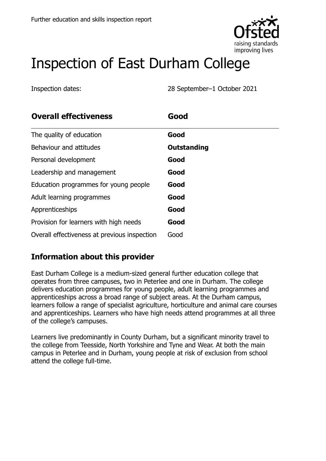

# Inspection of East Durham College

Inspection dates: 28 September–1 October 2021

| <b>Overall effectiveness</b>                 | Good               |
|----------------------------------------------|--------------------|
| The quality of education                     | Good               |
| Behaviour and attitudes                      | <b>Outstanding</b> |
| Personal development                         | Good               |
| Leadership and management                    | Good               |
| Education programmes for young people        | Good               |
| Adult learning programmes                    | Good               |
| Apprenticeships                              | Good               |
| Provision for learners with high needs       | Good               |
| Overall effectiveness at previous inspection | Good               |

## **Information about this provider**

East Durham College is a medium-sized general further education college that operates from three campuses, two in Peterlee and one in Durham. The college delivers education programmes for young people, adult learning programmes and apprenticeships across a broad range of subject areas. At the Durham campus, learners follow a range of specialist agriculture, horticulture and animal care courses and apprenticeships. Learners who have high needs attend programmes at all three of the college's campuses.

Learners live predominantly in County Durham, but a significant minority travel to the college from Teesside, North Yorkshire and Tyne and Wear. At both the main campus in Peterlee and in Durham, young people at risk of exclusion from school attend the college full-time.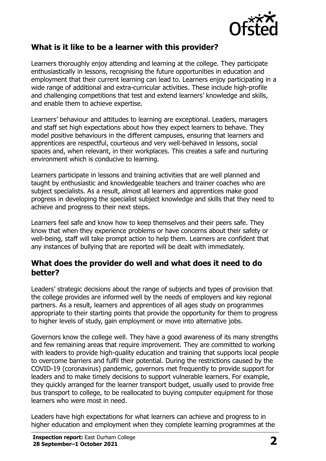

### **What is it like to be a learner with this provider?**

Learners thoroughly enjoy attending and learning at the college. They participate enthusiastically in lessons, recognising the future opportunities in education and employment that their current learning can lead to. Learners enjoy participating in a wide range of additional and extra-curricular activities. These include high-profile and challenging competitions that test and extend learners' knowledge and skills, and enable them to achieve expertise.

Learners' behaviour and attitudes to learning are exceptional. Leaders, managers and staff set high expectations about how they expect learners to behave. They model positive behaviours in the different campuses, ensuring that learners and apprentices are respectful, courteous and very well-behaved in lessons, social spaces and, when relevant, in their workplaces. This creates a safe and nurturing environment which is conducive to learning.

Learners participate in lessons and training activities that are well planned and taught by enthusiastic and knowledgeable teachers and trainer coaches who are subject specialists. As a result, almost all learners and apprentices make good progress in developing the specialist subject knowledge and skills that they need to achieve and progress to their next steps.

Learners feel safe and know how to keep themselves and their peers safe. They know that when they experience problems or have concerns about their safety or well-being, staff will take prompt action to help them. Learners are confident that any instances of bullying that are reported will be dealt with immediately.

#### **What does the provider do well and what does it need to do better?**

Leaders' strategic decisions about the range of subjects and types of provision that the college provides are informed well by the needs of employers and key regional partners. As a result, learners and apprentices of all ages study on programmes appropriate to their starting points that provide the opportunity for them to progress to higher levels of study, gain employment or move into alternative jobs.

Governors know the college well. They have a good awareness of its many strengths and few remaining areas that require improvement. They are committed to working with leaders to provide high-quality education and training that supports local people to overcome barriers and fulfil their potential. During the restrictions caused by the COVID-19 (coronavirus) pandemic, governors met frequently to provide support for leaders and to make timely decisions to support vulnerable learners. For example, they quickly arranged for the learner transport budget, usually used to provide free bus transport to college, to be reallocated to buying computer equipment for those learners who were most in need.

Leaders have high expectations for what learners can achieve and progress to in higher education and employment when they complete learning programmes at the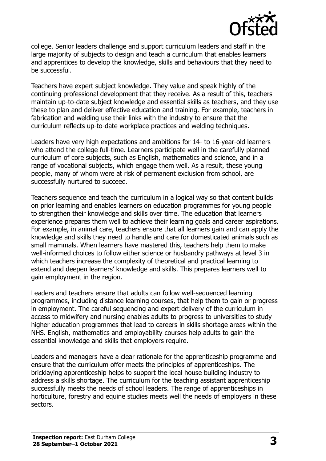

college. Senior leaders challenge and support curriculum leaders and staff in the large majority of subjects to design and teach a curriculum that enables learners and apprentices to develop the knowledge, skills and behaviours that they need to be successful.

Teachers have expert subject knowledge. They value and speak highly of the continuing professional development that they receive. As a result of this, teachers maintain up-to-date subject knowledge and essential skills as teachers, and they use these to plan and deliver effective education and training. For example, teachers in fabrication and welding use their links with the industry to ensure that the curriculum reflects up-to-date workplace practices and welding techniques.

Leaders have very high expectations and ambitions for 14- to 16-year-old learners who attend the college full-time. Learners participate well in the carefully planned curriculum of core subjects, such as English, mathematics and science, and in a range of vocational subjects, which engage them well. As a result, these young people, many of whom were at risk of permanent exclusion from school, are successfully nurtured to succeed.

Teachers sequence and teach the curriculum in a logical way so that content builds on prior learning and enables learners on education programmes for young people to strengthen their knowledge and skills over time. The education that learners experience prepares them well to achieve their learning goals and career aspirations. For example, in animal care, teachers ensure that all learners gain and can apply the knowledge and skills they need to handle and care for domesticated animals such as small mammals. When learners have mastered this, teachers help them to make well-informed choices to follow either science or husbandry pathways at level 3 in which teachers increase the complexity of theoretical and practical learning to extend and deepen learners' knowledge and skills. This prepares learners well to gain employment in the region.

Leaders and teachers ensure that adults can follow well-sequenced learning programmes, including distance learning courses, that help them to gain or progress in employment. The careful sequencing and expert delivery of the curriculum in access to midwifery and nursing enables adults to progress to universities to study higher education programmes that lead to careers in skills shortage areas within the NHS. English, mathematics and employability courses help adults to gain the essential knowledge and skills that employers require.

Leaders and managers have a clear rationale for the apprenticeship programme and ensure that the curriculum offer meets the principles of apprenticeships. The bricklaying apprenticeship helps to support the local house building industry to address a skills shortage. The curriculum for the teaching assistant apprenticeship successfully meets the needs of school leaders. The range of apprenticeships in horticulture, forestry and equine studies meets well the needs of employers in these sectors.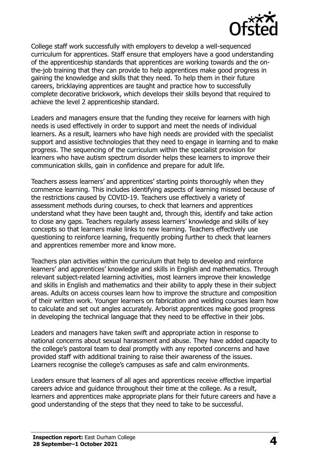

College staff work successfully with employers to develop a well-sequenced curriculum for apprentices. Staff ensure that employers have a good understanding of the apprenticeship standards that apprentices are working towards and the onthe-job training that they can provide to help apprentices make good progress in gaining the knowledge and skills that they need. To help them in their future careers, bricklaying apprentices are taught and practice how to successfully complete decorative brickwork, which develops their skills beyond that required to achieve the level 2 apprenticeship standard.

Leaders and managers ensure that the funding they receive for learners with high needs is used effectively in order to support and meet the needs of individual learners. As a result, learners who have high needs are provided with the specialist support and assistive technologies that they need to engage in learning and to make progress. The sequencing of the curriculum within the specialist provision for learners who have autism spectrum disorder helps these learners to improve their communication skills, gain in confidence and prepare for adult life.

Teachers assess learners' and apprentices' starting points thoroughly when they commence learning. This includes identifying aspects of learning missed because of the restrictions caused by COVID-19. Teachers use effectively a variety of assessment methods during courses, to check that learners and apprentices understand what they have been taught and, through this, identify and take action to close any gaps. Teachers regularly assess learners' knowledge and skills of key concepts so that learners make links to new learning. Teachers effectively use questioning to reinforce learning, frequently probing further to check that learners and apprentices remember more and know more.

Teachers plan activities within the curriculum that help to develop and reinforce learners' and apprentices' knowledge and skills in English and mathematics. Through relevant subject-related learning activities, most learners improve their knowledge and skills in English and mathematics and their ability to apply these in their subject areas. Adults on access courses learn how to improve the structure and composition of their written work. Younger learners on fabrication and welding courses learn how to calculate and set out angles accurately. Arborist apprentices make good progress in developing the technical language that they need to be effective in their jobs.

Leaders and managers have taken swift and appropriate action in response to national concerns about sexual harassment and abuse. They have added capacity to the college's pastoral team to deal promptly with any reported concerns and have provided staff with additional training to raise their awareness of the issues. Learners recognise the college's campuses as safe and calm environments.

Leaders ensure that learners of all ages and apprentices receive effective impartial careers advice and guidance throughout their time at the college. As a result, learners and apprentices make appropriate plans for their future careers and have a good understanding of the steps that they need to take to be successful.

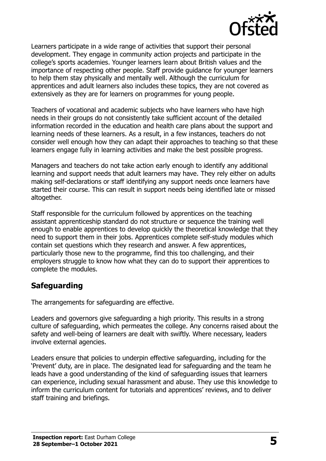

Learners participate in a wide range of activities that support their personal development. They engage in community action projects and participate in the college's sports academies. Younger learners learn about British values and the importance of respecting other people. Staff provide guidance for younger learners to help them stay physically and mentally well. Although the curriculum for apprentices and adult learners also includes these topics, they are not covered as extensively as they are for learners on programmes for young people.

Teachers of vocational and academic subjects who have learners who have high needs in their groups do not consistently take sufficient account of the detailed information recorded in the education and health care plans about the support and learning needs of these learners. As a result, in a few instances, teachers do not consider well enough how they can adapt their approaches to teaching so that these learners engage fully in learning activities and make the best possible progress.

Managers and teachers do not take action early enough to identify any additional learning and support needs that adult learners may have. They rely either on adults making self-declarations or staff identifying any support needs once learners have started their course. This can result in support needs being identified late or missed altogether.

Staff responsible for the curriculum followed by apprentices on the teaching assistant apprenticeship standard do not structure or sequence the training well enough to enable apprentices to develop quickly the theoretical knowledge that they need to support them in their jobs. Apprentices complete self-study modules which contain set questions which they research and answer. A few apprentices, particularly those new to the programme, find this too challenging, and their employers struggle to know how what they can do to support their apprentices to complete the modules.

### **Safeguarding**

The arrangements for safeguarding are effective.

Leaders and governors give safeguarding a high priority. This results in a strong culture of safeguarding, which permeates the college. Any concerns raised about the safety and well-being of learners are dealt with swiftly. Where necessary, leaders involve external agencies.

Leaders ensure that policies to underpin effective safeguarding, including for the 'Prevent' duty, are in place. The designated lead for safeguarding and the team he leads have a good understanding of the kind of safeguarding issues that learners can experience, including sexual harassment and abuse. They use this knowledge to inform the curriculum content for tutorials and apprentices' reviews, and to deliver staff training and briefings.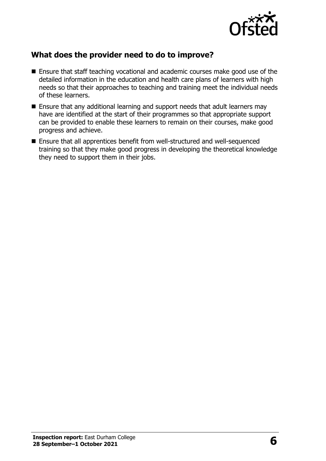

## **What does the provider need to do to improve?**

- Ensure that staff teaching vocational and academic courses make good use of the detailed information in the education and health care plans of learners with high needs so that their approaches to teaching and training meet the individual needs of these learners.
- Ensure that any additional learning and support needs that adult learners may have are identified at the start of their programmes so that appropriate support can be provided to enable these learners to remain on their courses, make good progress and achieve.
- Ensure that all apprentices benefit from well-structured and well-sequenced training so that they make good progress in developing the theoretical knowledge they need to support them in their jobs.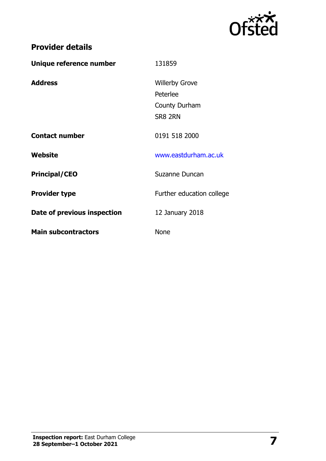

## **Provider details**

| Unique reference number     | 131859                    |
|-----------------------------|---------------------------|
| <b>Address</b>              | <b>Willerby Grove</b>     |
|                             | Peterlee                  |
|                             | County Durham             |
|                             | SR8 2RN                   |
| <b>Contact number</b>       | 0191 518 2000             |
| Website                     | www.eastdurham.ac.uk      |
| <b>Principal/CEO</b>        | Suzanne Duncan            |
| <b>Provider type</b>        | Further education college |
| Date of previous inspection | 12 January 2018           |
| <b>Main subcontractors</b>  | <b>None</b>               |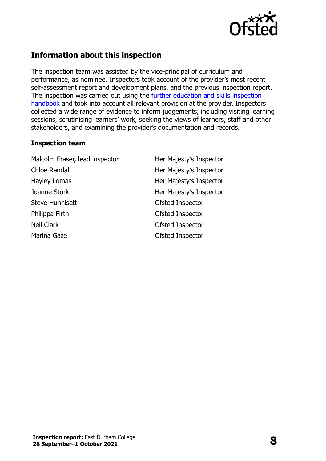

## **Information about this inspection**

The inspection team was assisted by the vice-principal of curriculum and performance, as nominee. Inspectors took account of the provider's most recent self-assessment report and development plans, and the previous inspection report. The inspection was carried out using the [further education and skills inspection](http://www.gov.uk/government/publications/further-education-and-skills-inspection-handbook-eif)  [handbook](http://www.gov.uk/government/publications/further-education-and-skills-inspection-handbook-eif) and took into account all relevant provision at the provider. Inspectors collected a wide range of evidence to inform judgements, including visiting learning sessions, scrutinising learners' work, seeking the views of learners, staff and other stakeholders, and examining the provider's documentation and records.

#### **Inspection team**

Malcolm Fraser, lead inspector Her Majesty's Inspector Chloe Rendall **Her Majesty's Inspector** Hayley Lomas **Her Majesty's Inspector** Joanne Stork **Her Majesty's Inspector** Steve Hunnisett **Contract Contract Contract Contract Contract Contract Contract Contract Contract Contract Contract Contract Contract Contract Contract Contract Contract Contract Contract Contract Contract Contract Contrac** Philippa Firth **Calculation** Ofsted Inspector Neil Clark **Network** Ofsted Inspector Marina Gaze **Ofsted Inspector**